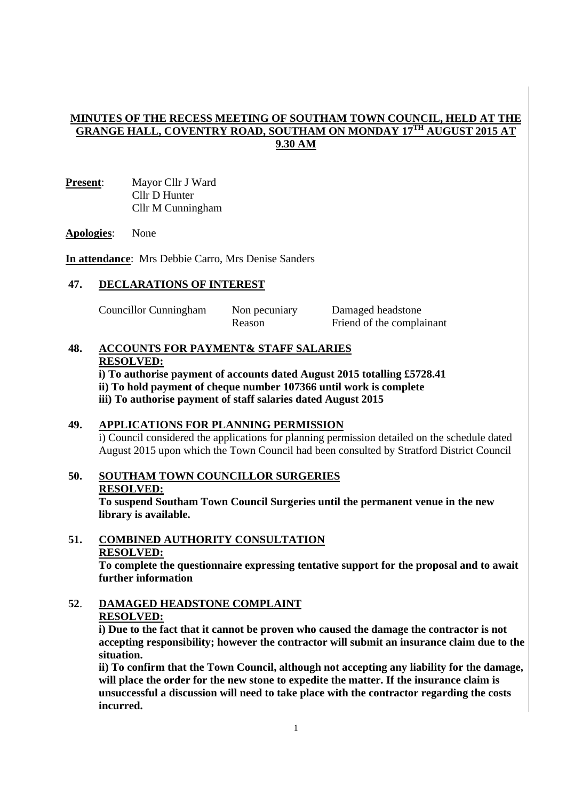## **MINUTES OF THE RECESS MEETING OF SOUTHAM TOWN COUNCIL, HELD AT THE GRANGE HALL, COVENTRY ROAD, SOUTHAM ON MONDAY 17TH AUGUST 2015 AT 9.30 AM**

**Present**: Mayor Cllr J Ward Cllr D Hunter Cllr M Cunningham

#### **Apologies**: None

**In attendance**: Mrs Debbie Carro, Mrs Denise Sanders

### **47. DECLARATIONS OF INTEREST**

Councillor Cunningham Non pecuniary Damaged headstone

Reason Friend of the complainant

#### **48. ACCOUNTS FOR PAYMENT& STAFF SALARIES RESOLVED:**

**i) To authorise payment of accounts dated August 2015 totalling £5728.41 ii) To hold payment of cheque number 107366 until work is complete iii) To authorise payment of staff salaries dated August 2015** 

## **49. APPLICATIONS FOR PLANNING PERMISSION**

i) Council considered the applications for planning permission detailed on the schedule dated August 2015 upon which the Town Council had been consulted by Stratford District Council

## **50. SOUTHAM TOWN COUNCILLOR SURGERIES RESOLVED: To suspend Southam Town Council Surgeries until the permanent venue in the new library is available.**

# **51. COMBINED AUTHORITY CONSULTATION RESOLVED:**

**To complete the questionnaire expressing tentative support for the proposal and to await further information** 

 **52**. **DAMAGED HEADSTONE COMPLAINT RESOLVED:**

**i) Due to the fact that it cannot be proven who caused the damage the contractor is not accepting responsibility; however the contractor will submit an insurance claim due to the situation.** 

 **ii) To confirm that the Town Council, although not accepting any liability for the damage, will place the order for the new stone to expedite the matter. If the insurance claim is unsuccessful a discussion will need to take place with the contractor regarding the costs incurred.**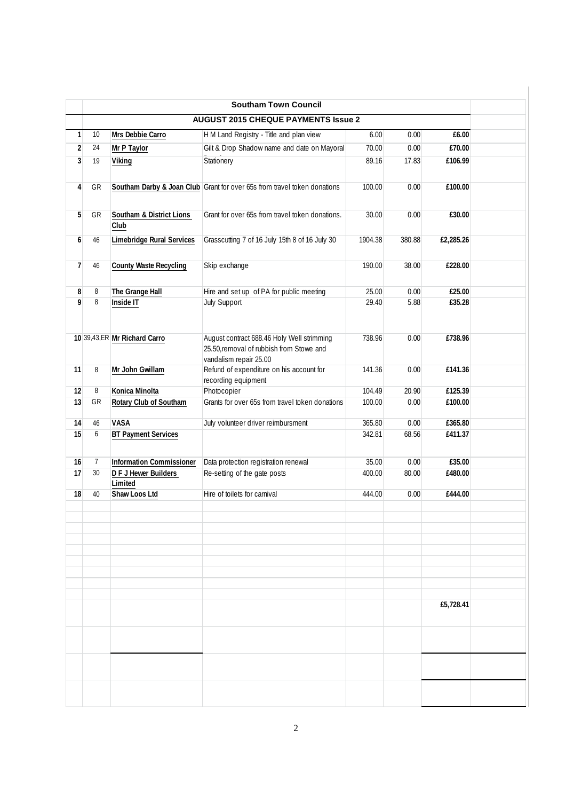|                |                |                                  | <b>Southam Town Council</b>                                                            |         |                |           |  |
|----------------|----------------|----------------------------------|----------------------------------------------------------------------------------------|---------|----------------|-----------|--|
|                |                |                                  | <b>AUGUST 2015 CHEQUE PAYMENTS Issue 2</b>                                             |         |                |           |  |
| $\mathbf{1}$   | 10             | Mrs Debbie Carro                 | H M Land Registry - Title and plan view                                                | 6.00    | 0.00           | £6.00     |  |
| $\overline{2}$ | 24             | Mr P Taylor                      | Gilt & Drop Shadow name and date on Mayoral                                            | 70.00   | 0.00           | £70.00    |  |
| 3              | 19             | Viking                           | Stationery                                                                             | 89.16   | 17.83          | £106.99   |  |
|                |                |                                  |                                                                                        |         |                |           |  |
| 4              | GR             |                                  | Southam Darby & Joan Club Grant for over 65s from travel token donations               | 100.00  | 0.00           | £100.00   |  |
|                |                |                                  |                                                                                        |         |                |           |  |
|                |                |                                  | Grant for over 65s from travel token donations.                                        |         |                |           |  |
| 5              | GR             | Southam & District Lions<br>Club |                                                                                        | 30.00   | 0.00           | £30.00    |  |
|                |                |                                  |                                                                                        |         |                |           |  |
| 6              | 46             | Limebridge Rural Services        | Grasscutting 7 of 16 July 15th 8 of 16 July 30                                         | 1904.38 | 380.88         | £2,285.26 |  |
|                |                |                                  |                                                                                        |         |                |           |  |
| $\overline{1}$ | 46             | <b>County Waste Recycling</b>    | Skip exchange                                                                          | 190.00  | 38.00          | £228.00   |  |
|                |                |                                  |                                                                                        |         |                |           |  |
| 8              | 8              | The Grange Hall                  | Hire and set up of PA for public meeting                                               | 25.00   | 0.00<br>£25.00 |           |  |
| 9              | 8              | Inside IT                        | <b>July Support</b>                                                                    | 29.40   | 5.88           | £35.28    |  |
|                |                |                                  |                                                                                        |         |                |           |  |
|                |                |                                  |                                                                                        |         |                |           |  |
|                |                | 10 39,43,ER Mr Richard Carro     | August contract 688.46 Holy Well strimming<br>25.50, removal of rubbish from Stowe and | 738.96  | 0.00           | £738.96   |  |
|                |                |                                  | vandalism repair 25.00                                                                 |         |                |           |  |
| 11             | 8              | Mr John Gwillam                  | Refund of expenditure on his account for                                               | 141.36  | 0.00           | £141.36   |  |
|                |                |                                  | recording equipment                                                                    |         |                |           |  |
| 12             | 8              | Konica Minolta                   | Photocopier                                                                            | 104.49  | 20.90          | £125.39   |  |
| 13             | GR             | Rotary Club of Southam           | Grants for over 65s from travel token donations                                        | 100.00  | 0.00           | £100.00   |  |
|                |                |                                  |                                                                                        |         |                |           |  |
| 14             | 46             | VASA                             | July volunteer driver reimbursment                                                     | 365.80  | 0.00           | £365.80   |  |
| 15             | 6              | <b>BT Payment Services</b>       |                                                                                        | 342.81  | 68.56          | £411.37   |  |
|                |                |                                  |                                                                                        |         |                |           |  |
| 16             | $\overline{7}$ | <b>Information Commissioner</b>  | Data protection registration renewal                                                   | 35.00   | 0.00           | £35.00    |  |
| 17             | 30             | D F J Hewer Builders             | Re-setting of the gate posts                                                           | 400.00  | 80.00          | £480.00   |  |
| 18             | 40             | Limited<br>Shaw Loos Ltd         | Hire of toilets for carnival                                                           | 444.00  | 0.00           | £444.00   |  |
|                |                |                                  |                                                                                        |         |                |           |  |
|                |                |                                  |                                                                                        |         |                |           |  |
|                |                |                                  |                                                                                        |         |                |           |  |
|                |                |                                  |                                                                                        |         |                |           |  |
|                |                |                                  |                                                                                        |         |                |           |  |
|                |                |                                  |                                                                                        |         |                |           |  |
|                |                |                                  |                                                                                        |         |                |           |  |
|                |                |                                  |                                                                                        |         |                |           |  |
|                |                |                                  |                                                                                        |         |                | £5,728.41 |  |
|                |                |                                  |                                                                                        |         |                |           |  |
|                |                |                                  |                                                                                        |         |                |           |  |
|                |                |                                  |                                                                                        |         |                |           |  |
|                |                |                                  |                                                                                        |         |                |           |  |
|                |                |                                  |                                                                                        |         |                |           |  |
|                |                |                                  |                                                                                        |         |                |           |  |
|                |                |                                  |                                                                                        |         |                |           |  |
|                |                |                                  |                                                                                        |         |                |           |  |